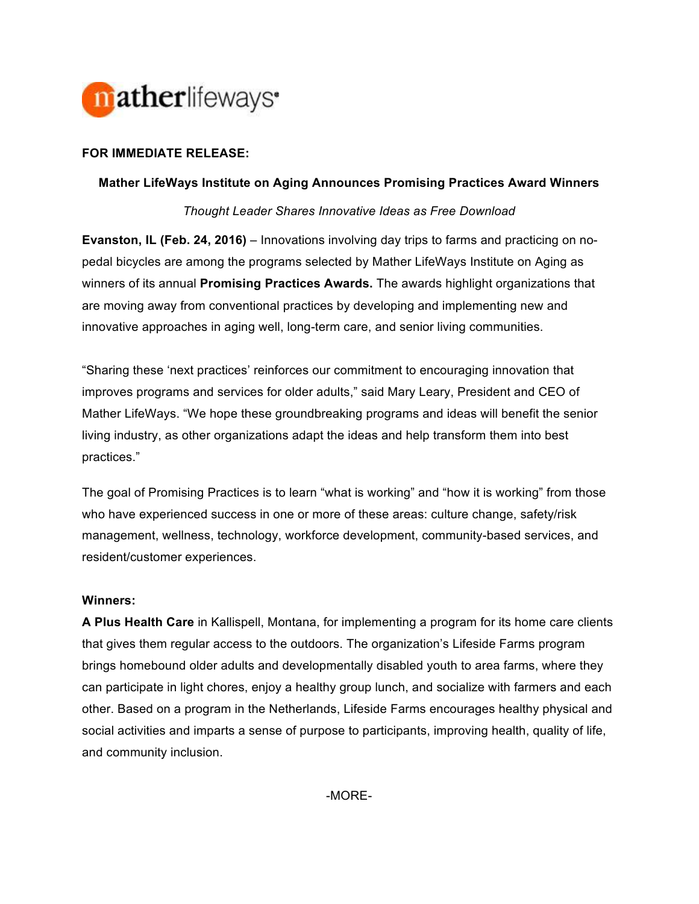

# **FOR IMMEDIATE RELEASE:**

## **Mather LifeWays Institute on Aging Announces Promising Practices Award Winners**

*Thought Leader Shares Innovative Ideas as Free Download* 

**Evanston, IL (Feb. 24, 2016)** – Innovations involving day trips to farms and practicing on nopedal bicycles are among the programs selected by Mather LifeWays Institute on Aging as winners of its annual **Promising Practices Awards.** The awards highlight organizations that are moving away from conventional practices by developing and implementing new and innovative approaches in aging well, long-term care, and senior living communities.

"Sharing these 'next practices' reinforces our commitment to encouraging innovation that improves programs and services for older adults," said Mary Leary, President and CEO of Mather LifeWays. "We hope these groundbreaking programs and ideas will benefit the senior living industry, as other organizations adapt the ideas and help transform them into best practices."

The goal of Promising Practices is to learn "what is working" and "how it is working" from those who have experienced success in one or more of these areas: culture change, safety/risk management, wellness, technology, workforce development, community-based services, and resident/customer experiences.

### **Winners:**

**A Plus Health Care** in Kallispell, Montana, for implementing a program for its home care clients that gives them regular access to the outdoors. The organization's Lifeside Farms program brings homebound older adults and developmentally disabled youth to area farms, where they can participate in light chores, enjoy a healthy group lunch, and socialize with farmers and each other. Based on a program in the Netherlands, Lifeside Farms encourages healthy physical and social activities and imparts a sense of purpose to participants, improving health, quality of life, and community inclusion.

-MORE-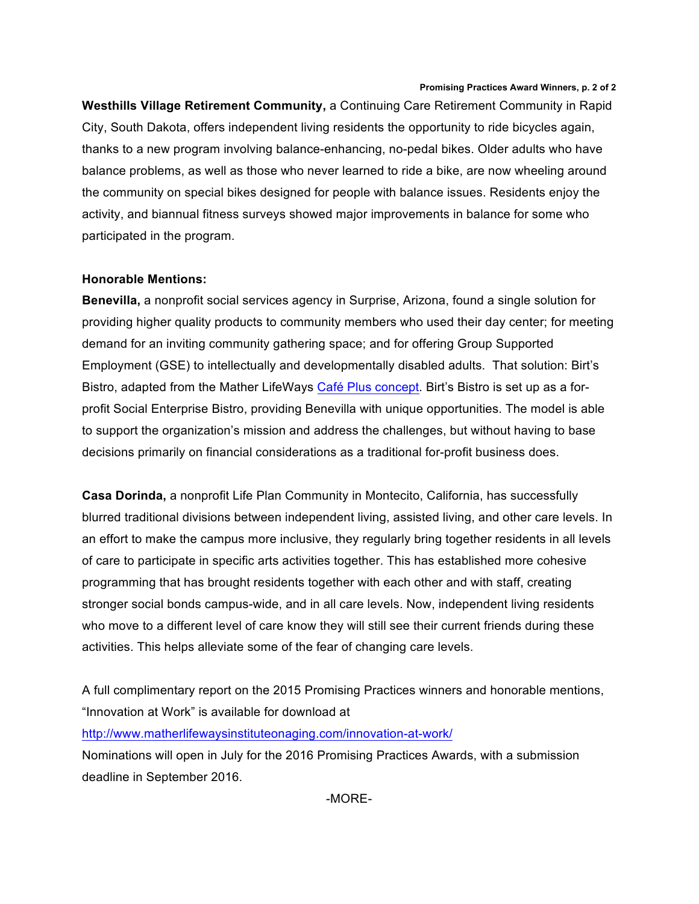#### **Promising Practices Award Winners, p. 2 of 2**

**Westhills Village Retirement Community,** a Continuing Care Retirement Community in Rapid City, South Dakota, offers independent living residents the opportunity to ride bicycles again, thanks to a new program involving balance-enhancing, no-pedal bikes. Older adults who have balance problems, as well as those who never learned to ride a bike, are now wheeling around the community on special bikes designed for people with balance issues. Residents enjoy the activity, and biannual fitness surveys showed major improvements in balance for some who participated in the program.

### **Honorable Mentions:**

**Benevilla,** a nonprofit social services agency in Surprise, Arizona, found a single solution for providing higher quality products to community members who used their day center; for meeting demand for an inviting community gathering space; and for offering Group Supported Employment (GSE) to intellectually and developmentally disabled adults. That solution: Birt's Bistro, adapted from the Mather LifeWays Café Plus concept. Birt's Bistro is set up as a forprofit Social Enterprise Bistro, providing Benevilla with unique opportunities. The model is able to support the organization's mission and address the challenges, but without having to base decisions primarily on financial considerations as a traditional for-profit business does.

**Casa Dorinda,** a nonprofit Life Plan Community in Montecito, California, has successfully blurred traditional divisions between independent living, assisted living, and other care levels. In an effort to make the campus more inclusive, they regularly bring together residents in all levels of care to participate in specific arts activities together. This has established more cohesive programming that has brought residents together with each other and with staff, creating stronger social bonds campus-wide, and in all care levels. Now, independent living residents who move to a different level of care know they will still see their current friends during these activities. This helps alleviate some of the fear of changing care levels.

A full complimentary report on the 2015 Promising Practices winners and honorable mentions, "Innovation at Work" is available for download at

http://www.matherlifewaysinstituteonaging.com/innovation-at-work/

Nominations will open in July for the 2016 Promising Practices Awards, with a submission deadline in September 2016.

-MORE-